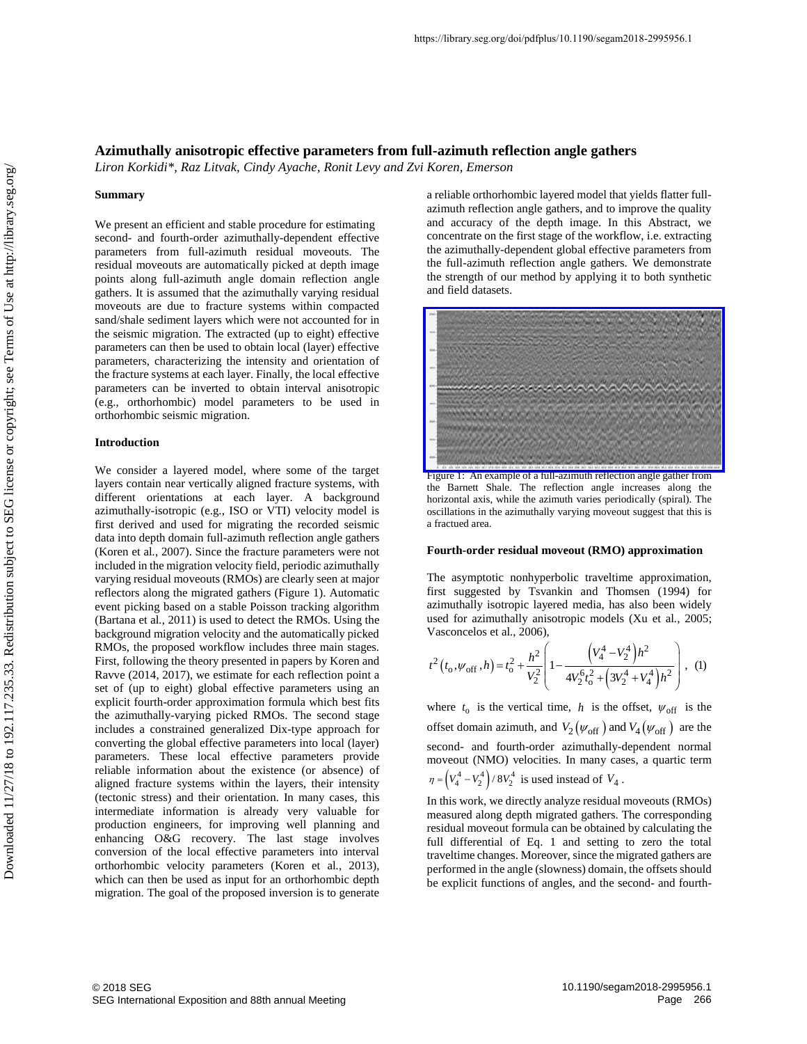*Liron Korkidi\*, Raz Litvak, Cindy Ayache, Ronit Levy and Zvi Koren, Emerson*

#### **Summary**

We present an efficient and stable procedure for estimating second- and fourth-order azimuthally-dependent effective parameters from full-azimuth residual moveouts. The residual moveouts are automatically picked at depth image points along full-azimuth angle domain reflection angle gathers. It is assumed that the azimuthally varying residual moveouts are due to fracture systems within compacted sand/shale sediment layers which were not accounted for in the seismic migration. The extracted (up to eight) effective parameters can then be used to obtain local (layer) effective parameters, characterizing the intensity and orientation of the fracture systems at each layer. Finally, the local effective parameters can be inverted to obtain interval anisotropic (e.g., orthorhombic) model parameters to be used in orthorhombic seismic migration.

### **Introduction**

We consider a layered model, where some of the target layers contain near vertically aligned fracture systems, with different orientations at each layer. A background azimuthally-isotropic (e.g., ISO or VTI) velocity model is first derived and used for migrating the recorded seismic data into depth domain full-azimuth reflection angle gathers (Koren et al*.*, 2007). Since the fracture parameters were not included in the migration velocity field, periodic azimuthally varying residual moveouts (RMOs) are clearly seen at major reflectors along the migrated gathers (Figure 1). Automatic event picking based on a stable Poisson tracking algorithm (Bartana et al*.*, 2011) is used to detect the RMOs. Using the background migration velocity and the automatically picked RMOs, the proposed workflow includes three main stages. First, following the theory presented in papers by Koren and Ravve (2014, 2017), we estimate for each reflection point a set of (up to eight) global effective parameters using an explicit fourth-order approximation formula which best fits the azimuthally-varying picked RMOs. The second stage includes a constrained generalized Dix-type approach for converting the global effective parameters into local (layer) parameters. These local effective parameters provide reliable information about the existence (or absence) of aligned fracture systems within the layers, their intensity (tectonic stress) and their orientation. In many cases, this intermediate information is already very valuable for production engineers, for improving well planning and enhancing O&G recovery. The last stage involves conversion of the local effective parameters into interval orthorhombic velocity parameters (Koren et al*.*, 2013), which can then be used as input for an orthorhombic depth migration. The goal of the proposed inversion is to generate *Litron Korktidt<sup>3</sup></sup>. <i>Reac* Litrads, Cindy Ayache, *Rom*<br>
Summary We present an efficient and stable procedure for estimates from full-azimuth residual moveous are anotherismed in production and stable production and an

a reliable orthorhombic layered model that yields flatter fullazimuth reflection angle gathers, and to improve the quality and accuracy of the depth image. In this Abstract, we concentrate on the first stage of the workflow, i.e. extracting the azimuthally-dependent global effective parameters from the full-azimuth reflection angle gathers. We demonstrate the strength of our method by applying it to both synthetic and field datasets.



Figure 1: An example of a full-azimuth reflection angle gather from the Barnett Shale. The reflection angle increases along the horizontal axis, while the azimuth varies periodically (spiral). The oscillations in the azimuthally varying moveout suggest that this is a fractued area.

### **Fourth-order residual moveout (RMO) approximation**

The asymptotic nonhyperbolic traveltime approximation, first suggested by Tsvankin and Thomsen (1994) for azimuthally isotropic layered media, has also been widely used for azimuthally anisotropic models (Xu et al*.,* 2005; Vasconcelos et al*.*, 2006), muthally isotropic layered media, has also been wideled for azimuthally anisotropic models (Xu et al., 2003)<br>sconcelos et al., 2006),<br> $(t_0, \psi_{\text{off}}, h) = t_0^2 + \frac{h^2}{V_0^2} \left( 1 - \frac{\left( V_4^4 - V_2^4 \right) h^2}{4V_0^6 r^2 + \left( 3V_4^4 + V_$ 

Vasconcelos et al., 2006),  
\n
$$
t^2(t_0, \psi_{\text{off}}, h) = t_0^2 + \frac{h^2}{V_2^2} \left( 1 - \frac{\left(V_4^4 - V_2^4\right)h^2}{4V_2^6t_0^2 + \left(3V_2^4 + V_4^4\right)h^2} \right), \quad (1)
$$

where  $t_0$  is the vertical time, h is the offset,  $\psi_{\text{off}}$  is the offset domain azimuth, and  $V_2(\psi_{\text{off}})$  and  $V_4(\psi_{\text{off}})$  are the second- and fourth-order azimuthally-dependent normal moveout (NMO) velocities. In many cases, a quartic term  $\eta = (V_4^4 - V_2^4) / 8V_2^4$  is used instead of  $V_4$ .

In this work, we directly analyze residual moveouts (RMOs) measured along depth migrated gathers. The corresponding residual moveout formula can be obtained by calculating the full differential of Eq. 1 and setting to zero the total traveltime changes. Moreover, since the migrated gathers are performed in the angle (slowness) domain, the offsets should be explicit functions of angles, and the second- and fourth-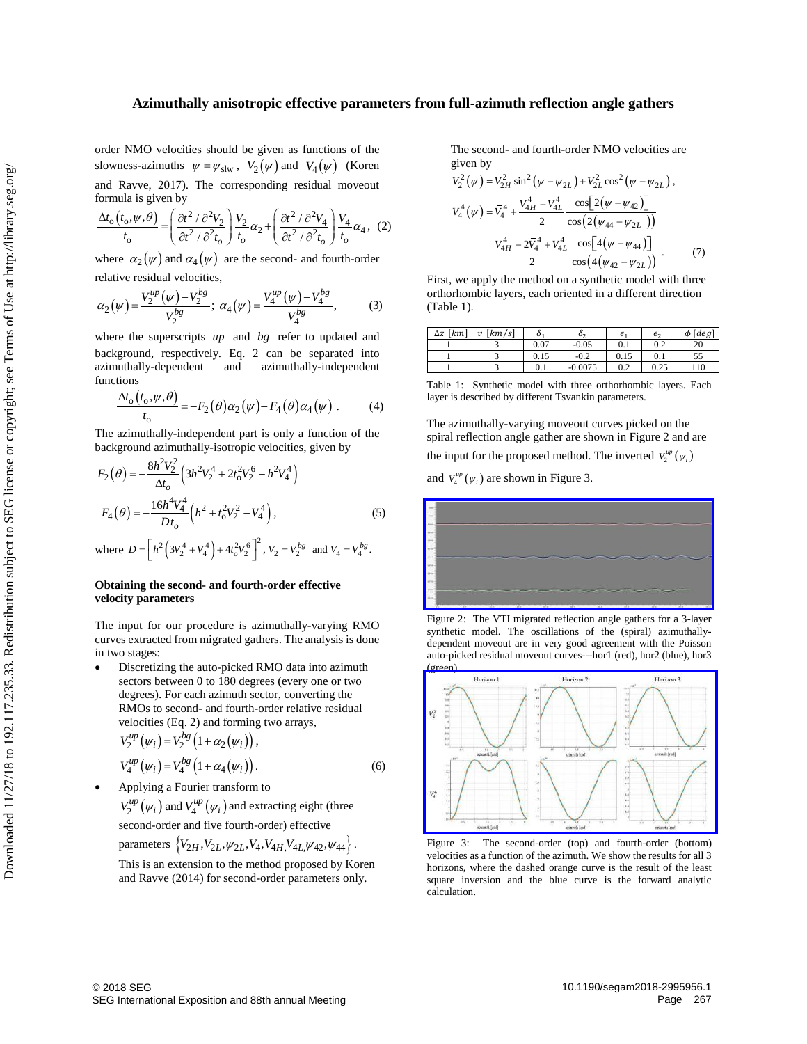order NMO velocities should be given as functions of the slowness-azimuths  $\psi = \psi_{\text{slw}}$ ,  $V_2(\psi)$  and  $V_4(\psi)$  (Koren and Ravve, 2017). The corresponding residual moveout

formula is given by  
\n
$$
\frac{\Delta t_0(t_0,\psi,\theta)}{t_0} = \left(\frac{\partial t^2/\partial^2 V_2}{\partial t^2/\partial^2 t_0}\right) \frac{V_2}{t_0} \alpha_2 + \left(\frac{\partial t^2/\partial^2 V_4}{\partial t^2/\partial^2 t_0}\right) \frac{V_4}{t_0} \alpha_4, (2)
$$

where  $\alpha_2(\psi)$  and  $\alpha_4(\psi)$  are the second- and fourth-order

relative residual velocities,  
\n
$$
\alpha_2(\psi) = \frac{V_2^{up}(\psi) - V_2^{bg}}{V_2^{bg}}; \ \alpha_4(\psi) = \frac{V_4^{up}(\psi) - V_4^{bg}}{V_4^{bg}},
$$
\n(3)

where the superscripts *up* and *bg* refer to updated and background, respectively. Eq. 2 can be separated into azimuthally-dependent and azimuthally-independent functions<br> $\frac{\Delta t_0}{t_0}$ 

$$
\frac{\Delta t_0(t_0, \psi, \theta)}{t_0} = -F_2(\theta)\alpha_2(\psi) - F_4(\theta)\alpha_4(\psi) . \tag{4}
$$

The azimuthally-independent part is only a function of the

background azimuthally-isotropic velocities, given by  
\n
$$
F_2(\theta) = -\frac{8h^2V_2^2}{\Delta t_o} \left(3h^2V_2^4 + 2t_0^2V_2^6 - h^2V_4^4\right)
$$
\n
$$
F_4(\theta) = -\frac{16h^4V_4^4}{Dt_o} \left(h^2 + t_0^2V_2^2 - V_4^4\right),
$$
\n(5)

where 
$$
D = \left[ h^2 \left( 3V_2^4 + V_4^4 \right) + 4t_0^2 V_2^6 \right]^2
$$
,  $V_2 = V_2^{bg}$  and  $V_4 = V_4^{bg}$ .

### **Obtaining the second- and fourth-order effective velocity parameters**

The input for our procedure is azimuthally-varying RMO curves extracted from migrated gathers. The analysis is done in two stages:

• Discretizing the auto-picked RMO data into azimuth sectors between 0 to 180 degrees (every one or two degrees). For each azimuth sector, converting the RMOs to second- and fourth-order relative residual

velocities (Eq. 2) and forming two arrays,  
\n
$$
V_2^{up}(\psi_i) = V_2^{bg} (1 + \alpha_2(\psi_i)),
$$
\n
$$
V_4^{up}(\psi_i) = V_4^{bg} (1 + \alpha_4(\psi_i)).
$$
\n(6)

• Applying a Fourier transform to

 $V_2^{up}(\psi_i)$  and  $V_4^{up}(\psi_i)$  and extracting eight (three

second-order and five fourth-order) effective  
parameters 
$$
\{V_{2H}, V_{2L}, \overline{V}_4, V_{4H}, V_{4L}, \psi_{42}, \psi_{44}\}
$$
.

This is an extension to the method proposed by Koren and Ravve (2014) for second-order parameters only.

The second- and fourth-order NMO velocities are given by

given by  
\n
$$
V_2^2(\psi) = V_{2H}^2 \sin^2 (\psi - \psi_{2L}) + V_{2L}^2 \cos^2 (\psi - \psi_{2L}),
$$
\n
$$
V_4^4(\psi) = \overline{V}_4^4 + \frac{V_{4H}^4 - V_{4L}^4 \cos [2(\psi - \psi_{42})]}{2 \cos (2(\psi_{44} - \psi_{2L}))} + \frac{V_{4H}^4 - 2\overline{V}_4^4 + V_{4L}^4 \cos [4(\psi - \psi_{44})]}{2 \cos (4(\psi_{42} - \psi_{2L}))}.
$$
\n(7)

First, we apply the method on a synthetic model with three orthorhombic layers, each oriented in a different direction (Table 1).

| $\Delta z$ [km] | [km/s]<br>$\boldsymbol{\eta}$ |      | 0,        | e٠   | t٠   | $\lceil deg \rceil$<br>φ |
|-----------------|-------------------------------|------|-----------|------|------|--------------------------|
|                 |                               | 0.07 | $-0.05$   | 0.1  | 0.2  | 20                       |
|                 |                               | 0.15 | $-0.2$    | 0.15 | 0.1  | ээ                       |
|                 |                               | 0.1  | $-0.0075$ | 0.2  | 0.25 | 110                      |

Table 1: Synthetic model with three orthorhombic layers. Each layer is described by different Tsvankin parameters.

The azimuthally-varying moveout curves picked on the spiral reflection angle gather are shown in Figure 2 and are the input for the proposed method. The inverted  $V_2^{\mu \nu}(\psi_i)$ 

and  $V_4^{\mu\nu}(\psi_i)$  are shown in Figure 3.



Figure 2: The VTI migrated reflection angle gathers for a 3-layer synthetic model. The oscillations of the (spiral) azimuthallydependent moveout are in very good agreement with the Poisson auto-picked residual moveout curves---hor1 (red), hor2 (blue), hor3



Figure 3: The second-order (top) and fourth-order (bottom) velocities as a function of the azimuth. We show the results for all 3 horizons, where the dashed orange curve is the result of the least square inversion and the blue curve is the forward analytic calculation.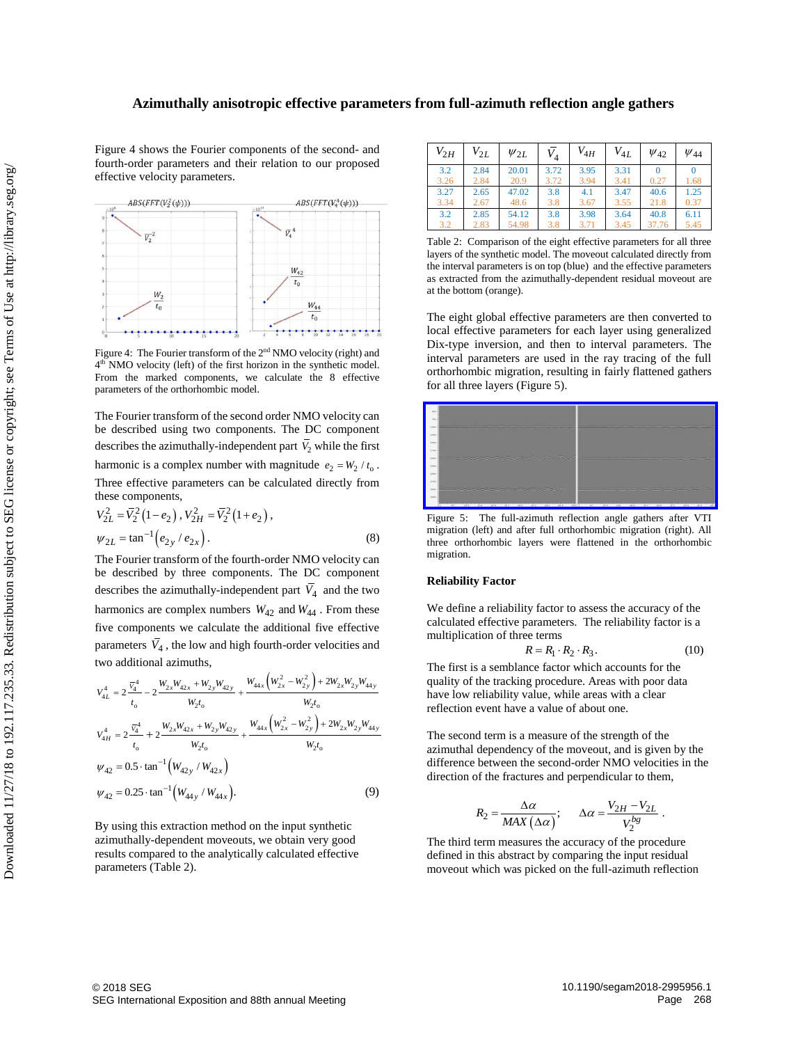Figure 4 shows the Fourier components of the second- and fourth-order parameters and their relation to our proposed effective velocity parameters.



Figure 4: The Fourier transform of the 2<sup>nd</sup> NMO velocity (right) and 4 th NMO velocity (left) of the first horizon in the synthetic model. From the marked components, we calculate the 8 effective parameters of the orthorhombic model.

The Fourier transform of the second order NMO velocity can be described using two components. The DC component describes the azimuthally-independent part  $V_2$  while the first harmonic is a complex number with magnitude  $e_2 = W_2 / t_0$ . Three effective parameters can be calculated directly from these components, ese components,<br>  $\overline{v}_{2L}^2 = \overline{V}_2^2 (1 - e_2)$ ,  $V_{2H}^2 = \overline{V}_2^2 (1 + e_2)$ , these components,<br> $V_{2L}^2 = \overline{V}_2^2 (1 - e_2)$ ,  $V_{2H}^2 = \overline{V}_2^2 (1 + e_2)$ e components,<br>=  $\bar{V}_2^2(1-e_2)$ ,  $V_{2H}^2 = \bar{V}_2^2(1+e_2)$ ,

$$
V_{2L} = V_2^{-} (1 - e_2), V_{2H} = V_2^{-} (1 + e_2),
$$
  
\n
$$
W_{2L} = \tan^{-1} (e_{2y} / e_{2x}).
$$
\n(8)

The Fourier transform of the fourth-order NMO velocity can be described by three components. The DC component describes the azimuthally-independent part  $V_4$  and the two harmonics are complex numbers  $W_{42}$  and  $W_{44}$ . From these five components we calculate the additional five effective parameters  $V_4$ , the low and high fourth-order velocities and two additional azimuths,

two additional azimuths,  
\n
$$
V_{4L}^{4} = 2 \frac{\overline{v}_{4}^{4}}{t_{0}} - 2 \frac{W_{2x}W_{42x} + W_{2y}W_{42y}}{W_{2}t_{0}} + \frac{W_{44x} (W_{2x}^{2} - W_{2y}^{2}) + 2W_{2x}W_{2y}W_{44y}}{W_{2}t_{0}}
$$
\n
$$
V_{4H}^{4} = 2 \frac{\overline{v}_{4}^{4}}{t_{0}} + 2 \frac{W_{2x}W_{42x} + W_{2y}W_{42y}}{W_{2}t_{0}} + \frac{W_{44x} (W_{2x}^{2} - W_{2y}^{2}) + 2W_{2x}W_{2y}W_{44y}}{W_{2}t_{0}}
$$
\n
$$
W_{42} = 0.5 \cdot \tan^{-1} (W_{42y} / W_{42x})
$$
\n
$$
W_{42} = 0.25 \cdot \tan^{-1} (W_{44y} / W_{44x}).
$$
\n(9)

By using this extraction method on the input synthetic azimuthally-dependent moveouts, we obtain very good results compared to the analytically calculated effective parameters (Table 2).

| $V_{2H}$ | $V_{2L}$ | $\psi_{2L}$ | $V_4$ | $V_{4H}$ | $V_{4L}$ | $W_{42}$ | $W_{44}$ |
|----------|----------|-------------|-------|----------|----------|----------|----------|
| 3.2      | 2.84     | 20.01       | 3.72  | 3.95     | 3.31     |          |          |
| 3.26     | 2.84     | 20.9        | 3.72  | 3.94     | 3.41     | 0.27     | 1.68     |
| 3.27     | 2.65     | 47.02       | 3.8   | 4.1      | 3.47     | 40.6     | 1.25     |
| 3.34     | 2.67     | 48.6        | 3.8   | 3.67     | 3.55     | 21.8     | 0.37     |
| 3.2      | 2.85     | 54.12       | 3.8   | 3.98     | 3.64     | 40.8     | 6.11     |
| 3.2      | 2.83     | 54.98       | 3.8   | 3.71     | 3.45     | 37.76    | 5.45     |

Table 2: Comparison of the eight effective parameters for all three layers of the synthetic model. The moveout calculated directly from the interval parameters is on top (blue) and the effective parameters as extracted from the azimuthally-dependent residual moveout are at the bottom (orange).

The eight global effective parameters are then converted to local effective parameters for each layer using generalized Dix-type inversion, and then to interval parameters. The interval parameters are used in the ray tracing of the full orthorhombic migration, resulting in fairly flattened gathers for all three layers (Figure 5).



Figure 5: The full-azimuth reflection angle gathers after VTI migration (left) and after full orthorhombic migration (right). All three orthorhombic layers were flattened in the orthorhombic migration.

### **Reliability Factor**

We define a reliability factor to assess the accuracy of the calculated effective parameters. The reliability factor is a multiplication of three terms  $R = R_1 \cdot R_2 \cdot R_3.$  (10)

$$
= R_1 \cdot R_2 \cdot R_3. \tag{10}
$$

The first is a semblance factor which accounts for the quality of the tracking procedure. Areas with poor data have low reliability value, while areas with a clear reflection event have a value of about one.

The second term is a measure of the strength of the azimuthal dependency of the moveout, and is given by the difference between the second-order NMO velocities in the direction of the fractures and perpendicular to them,

$$
R_2 = \frac{\Delta \alpha}{MAX (\Delta \alpha)}; \qquad \Delta \alpha = \frac{V_{2H} - V_{2L}}{V_2^{bg}}.
$$

The third term measures the accuracy of the procedure defined in this abstract by comparing the input residual moveout which was picked on the full-azimuth reflection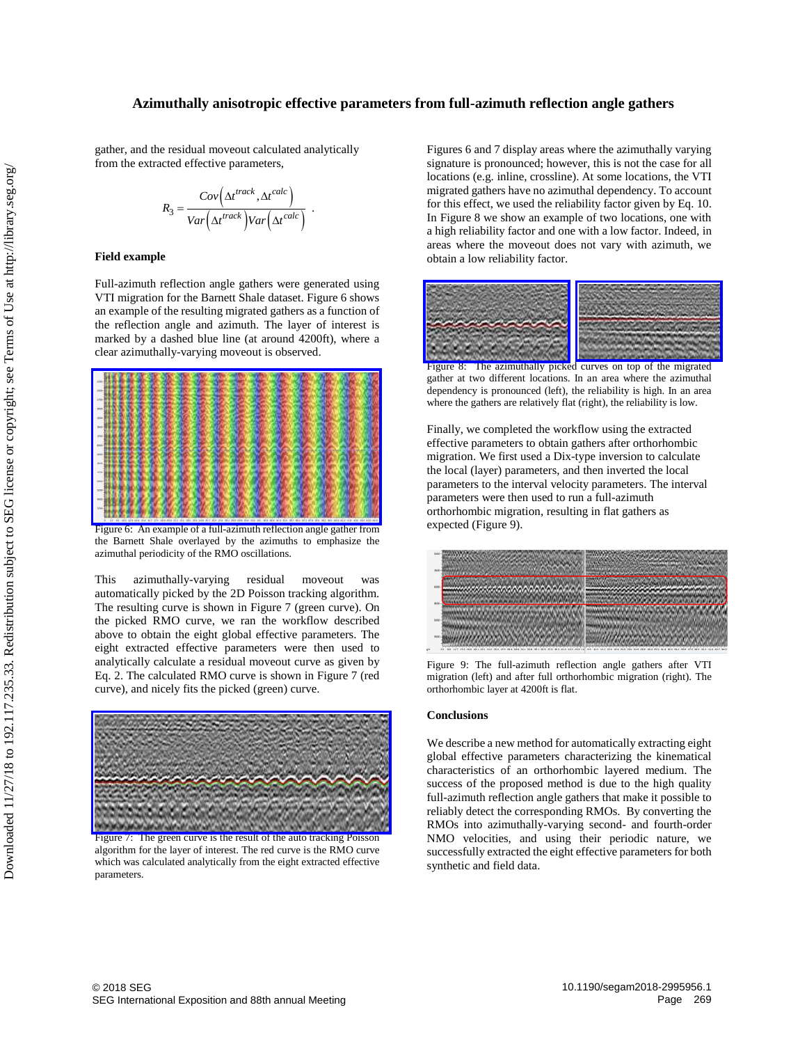gather, and the residual moveout calculated analytically from the extracted effective parameters,

$$
R_3 = \frac{Cov(\Delta t^{track}, \Delta t^{calc})}{Var(\Delta t^{track})Var(\Delta t^{calc})}
$$

.

### **Field example**

Full-azimuth reflection angle gathers were generated using VTI migration for the Barnett Shale dataset. Figure 6 shows an example of the resulting migrated gathers as a function of the reflection angle and azimuth. The layer of interest is marked by a dashed blue line (at around 4200ft), where a clear azimuthally-varying moveout is observed.



Figure 6: An example of a full-azimuth reflection angle gather from the Barnett Shale overlayed by the azimuths to emphasize the azimuthal periodicity of the RMO oscillations.

This azimuthally-varying residual moveout was automatically picked by the 2D Poisson tracking algorithm. The resulting curve is shown in Figure 7 (green curve). On the picked RMO curve, we ran the workflow described above to obtain the eight global effective parameters. The eight extracted effective parameters were then used to analytically calculate a residual moveout curve as given by Eq. 2. The calculated RMO curve is shown in Figure 7 (red curve), and nicely fits the picked (green) curve.



Figure 7: The green curve is the result of the auto tracking Poisson algorithm for the layer of interest. The red curve is the RMO curve which was calculated analytically from the eight extracted effective parameters.

Figures 6 and 7 display areas where the azimuthally varying signature is pronounced; however, this is not the case for all locations (e.g. inline, crossline). At some locations, the VTI migrated gathers have no azimuthal dependency. To account for this effect, we used the reliability factor given by Eq. 10. In Figure 8 we show an example of two locations, one with a high reliability factor and one with a low factor. Indeed, in areas where the moveout does not vary with azimuth, we obtain a low reliability factor.



gather at two different locations. In an area where the azimuthal dependency is pronounced (left), the reliability is high. In an area where the gathers are relatively flat (right), the reliability is low.

Finally, we completed the workflow using the extracted effective parameters to obtain gathers after orthorhombic migration. We first used a Dix-type inversion to calculate the local (layer) parameters, and then inverted the local parameters to the interval velocity parameters. The interval parameters were then used to run a full-azimuth orthorhombic migration, resulting in flat gathers as expected (Figure 9).



Figure 9: The full-azimuth reflection angle gathers after VTI migration (left) and after full orthorhombic migration (right). The orthorhombic layer at 4200ft is flat.

#### **Conclusions**

We describe a new method for automatically extracting eight global effective parameters characterizing the kinematical characteristics of an orthorhombic layered medium. The success of the proposed method is due to the high quality full-azimuth reflection angle gathers that make it possible to reliably detect the corresponding RMOs. By converting the RMOs into azimuthally-varying second- and fourth-order NMO velocities, and using their periodic nature, we successfully extracted the eight effective parameters for both synthetic and field data.